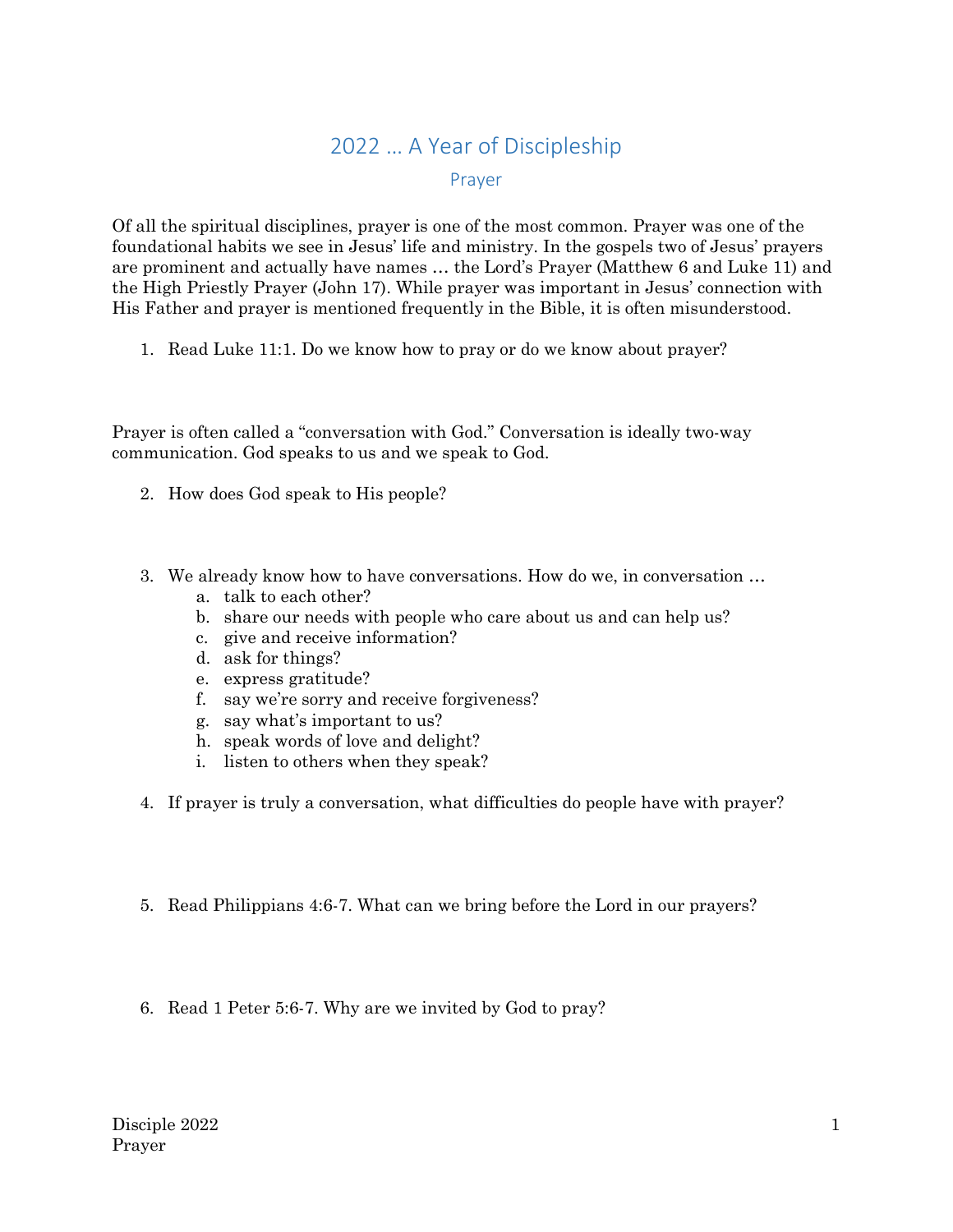## 2022 … A Year of Discipleship

## Prayer

Of all the spiritual disciplines, prayer is one of the most common. Prayer was one of the foundational habits we see in Jesus' life and ministry. In the gospels two of Jesus' prayers are prominent and actually have names … the Lord's Prayer (Matthew 6 and Luke 11) and the High Priestly Prayer (John 17). While prayer was important in Jesus' connection with His Father and prayer is mentioned frequently in the Bible, it is often misunderstood.

1. Read Luke 11:1. Do we know how to pray or do we know about prayer?

Prayer is often called a "conversation with God." Conversation is ideally two-way communication. God speaks to us and we speak to God.

- 2. How does God speak to His people?
- 3. We already know how to have conversations. How do we, in conversation …
	- a. talk to each other?
	- b. share our needs with people who care about us and can help us?
	- c. give and receive information?
	- d. ask for things?
	- e. express gratitude?
	- f. say we're sorry and receive forgiveness?
	- g. say what's important to us?
	- h. speak words of love and delight?
	- i. listen to others when they speak?
- 4. If prayer is truly a conversation, what difficulties do people have with prayer?
- 5. Read Philippians 4:6-7. What can we bring before the Lord in our prayers?
- 6. Read 1 Peter 5:6-7. Why are we invited by God to pray?